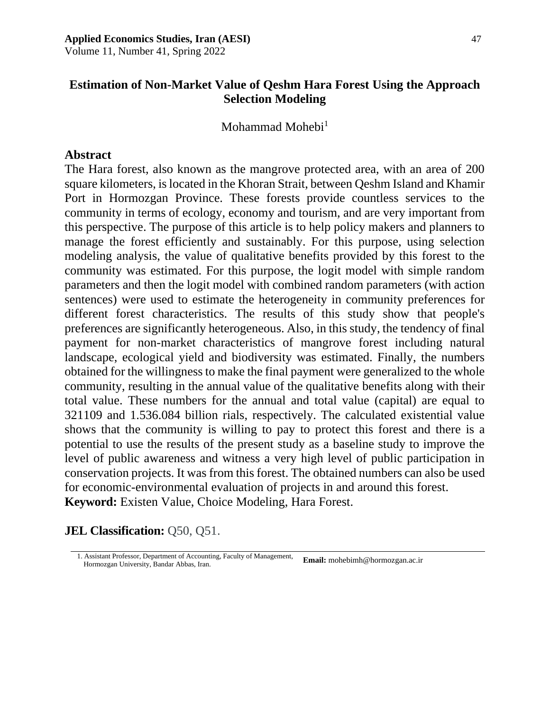# **Estimation of Non-Market Value of Qeshm Hara Forest Using the Approach Selection Modeling**

Mohammad Mohebi<sup>1</sup>

### **Abstract**

The Hara forest, also known as the mangrove protected area, with an area of 200 square kilometers, is located in the Khoran Strait, between Qeshm Island and Khamir Port in Hormozgan Province. These forests provide countless services to the community in terms of ecology, economy and tourism, and are very important from this perspective. The purpose of this article is to help policy makers and planners to manage the forest efficiently and sustainably. For this purpose, using selection modeling analysis, the value of qualitative benefits provided by this forest to the community was estimated. For this purpose, the logit model with simple random parameters and then the logit model with combined random parameters (with action sentences) were used to estimate the heterogeneity in community preferences for different forest characteristics. The results of this study show that people's preferences are significantly heterogeneous. Also, in this study, the tendency of final payment for non-market characteristics of mangrove forest including natural landscape, ecological yield and biodiversity was estimated. Finally, the numbers obtained for the willingness to make the final payment were generalized to the whole community, resulting in the annual value of the qualitative benefits along with their total value. These numbers for the annual and total value (capital) are equal to 321109 and 1.536.084 billion rials, respectively. The calculated existential value shows that the community is willing to pay to protect this forest and there is a potential to use the results of the present study as a baseline study to improve the level of public awareness and witness a very high level of public participation in conservation projects. It was from this forest. The obtained numbers can also be used for economic-environmental evaluation of projects in and around this forest. **Keyword:** Existen Value, Choice Modeling, Hara Forest.

### **JEL Classification:** Q50, Q51.

<sup>1.</sup> Assistant Professor, Department of Accounting, Faculty of Management, **Email:** [mohebimh@hormozgan.ac.ir](mailto:mohebimh@hormozgan.ac.ir) Hormozgan University, Bandar Abbas, Iran.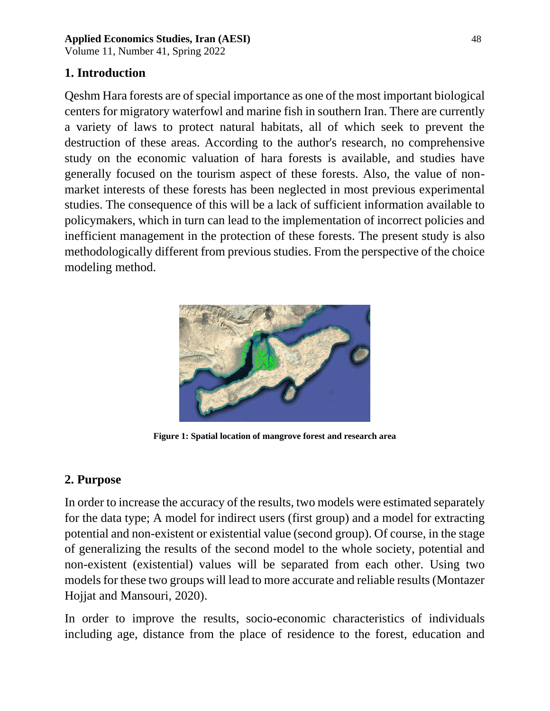Volume 11, Number 41, Spring 2022

# **1. Introduction**

Qeshm Hara forests are of special importance as one of the most important biological centers for migratory waterfowl and marine fish in southern Iran. There are currently a variety of laws to protect natural habitats, all of which seek to prevent the destruction of these areas. According to the author's research, no comprehensive study on the economic valuation of hara forests is available, and studies have generally focused on the tourism aspect of these forests. Also, the value of nonmarket interests of these forests has been neglected in most previous experimental studies. The consequence of this will be a lack of sufficient information available to policymakers, which in turn can lead to the implementation of incorrect policies and inefficient management in the protection of these forests. The present study is also methodologically different from previous studies. From the perspective of the choice modeling method.



**Figure 1: Spatial location of mangrove forest and research area**

# **2. Purpose**

In order to increase the accuracy of the results, two models were estimated separately for the data type; A model for indirect users (first group) and a model for extracting potential and non-existent or existential value (second group). Of course, in the stage of generalizing the results of the second model to the whole society, potential and non-existent (existential) values will be separated from each other. Using two models for these two groups will lead to more accurate and reliable results (Montazer Hojjat and Mansouri, 2020).

In order to improve the results, socio-economic characteristics of individuals including age, distance from the place of residence to the forest, education and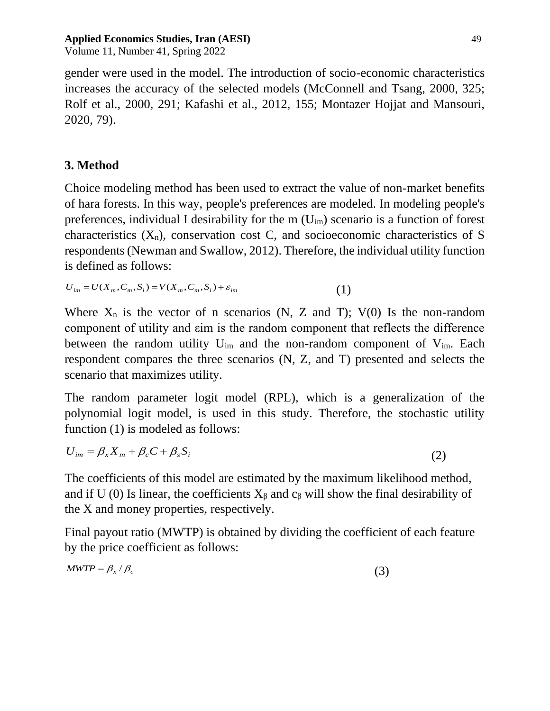Volume 11, Number 41, Spring 2022

gender were used in the model. The introduction of socio-economic characteristics increases the accuracy of the selected models (McConnell and Tsang, 2000, 325; Rolf et al., 2000, 291; Kafashi et al., 2012, 155; Montazer Hojjat and Mansouri, 2020, 79).

# **3. Method**

Choice modeling method has been used to extract the value of non-market benefits of hara forests. In this way, people's preferences are modeled. In modeling people's preferences, individual I desirability for the  $m(U_{im})$  scenario is a function of forest characteristics  $(X_n)$ , conservation cost C, and socioeconomic characteristics of S respondents (Newman and Swallow, 2012). Therefore, the individual utility function is defined as follows:

 $U_{im} = U(X_m, C_m, S_i) = V(X_m, C_m, S_i) + \varepsilon_{im}$  (1)

Where  $X_n$  is the vector of n scenarios (N, Z and T); V(0) Is the non-random component of utility and εim is the random component that reflects the difference between the random utility  $U_{im}$  and the non-random component of  $V_{im}$ . Each respondent compares the three scenarios (N, Z, and T) presented and selects the scenario that maximizes utility.

The random parameter logit model (RPL), which is a generalization of the polynomial logit model, is used in this study. Therefore, the stochastic utility function (1) is modeled as follows:

$$
U_{im} = \beta_x X_m + \beta_c C + \beta_s S_i \tag{2}
$$

The coefficients of this model are estimated by the maximum likelihood method, and if U (0) Is linear, the coefficients  $X_\beta$  and  $c_\beta$  will show the final desirability of the X and money properties, respectively.

Final payout ratio (MWTP) is obtained by dividing the coefficient of each feature by the price coefficient as follows:

$$
MWTP = \beta_x / \beta_c \tag{3}
$$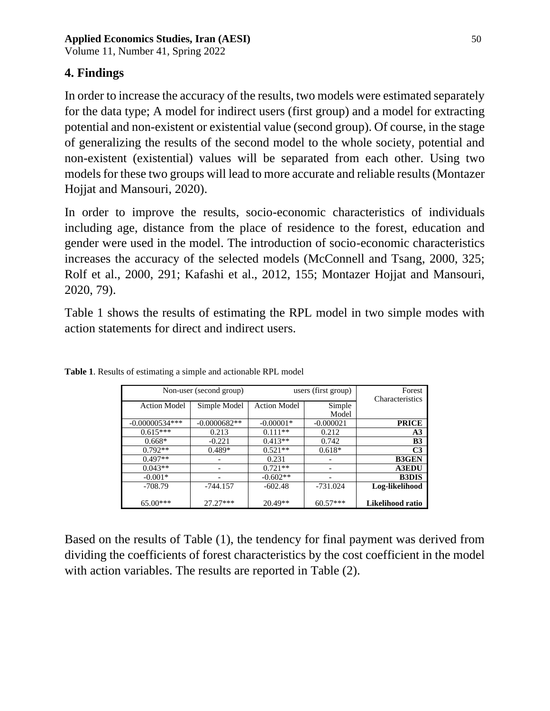Volume 11, Number 41, Spring 2022

### **4. Findings**

In order to increase the accuracy of the results, two models were estimated separately for the data type; A model for indirect users (first group) and a model for extracting potential and non-existent or existential value (second group). Of course, in the stage of generalizing the results of the second model to the whole society, potential and non-existent (existential) values will be separated from each other. Using two models for these two groups will lead to more accurate and reliable results (Montazer Hojjat and Mansouri, 2020).

In order to improve the results, socio-economic characteristics of individuals including age, distance from the place of residence to the forest, education and gender were used in the model. The introduction of socio-economic characteristics increases the accuracy of the selected models (McConnell and Tsang, 2000, 325; Rolf et al., 2000, 291; Kafashi et al., 2012, 155; Montazer Hojjat and Mansouri, 2020, 79).

Table 1 shows the results of estimating the RPL model in two simple modes with action statements for direct and indirect users.

| Non-user (second group) |                | users (first group) |             | Forest           |
|-------------------------|----------------|---------------------|-------------|------------------|
| <b>Action Model</b>     | Simple Model   | <b>Action Model</b> | Simple      | Characteristics  |
|                         |                |                     | Model       |                  |
| $-0.00000534***$        | $-0.0000682**$ | $-0.00001*$         | $-0.000021$ | <b>PRICE</b>     |
| $0.615***$              | 0.213          | $0.111**$           | 0.212       | A <sub>3</sub>   |
| $0.668*$                | $-0.221$       | $0.413**$           | 0.742       | B <sub>3</sub>   |
| $0.792**$               | $0.489*$       | $0.521**$           | $0.618*$    | C <sub>3</sub>   |
| $0.497**$               |                | 0.231               |             | <b>B3GEN</b>     |
| $0.043**$               |                | $0.721**$           |             | <b>A3EDU</b>     |
| $-0.001*$               |                | $-0.602**$          |             | <b>B3DIS</b>     |
| $-708.79$               | $-744.157$     | $-602.48$           | -731.024    | Log-likelihood   |
|                         |                |                     |             |                  |
| 65.00***                | $27.27***$     | $20.49**$           | $60.57***$  | Likelihood ratio |

**Table 1**. Results of estimating a simple and actionable RPL model

Based on the results of Table (1), the tendency for final payment was derived from dividing the coefficients of forest characteristics by the cost coefficient in the model with action variables. The results are reported in Table (2).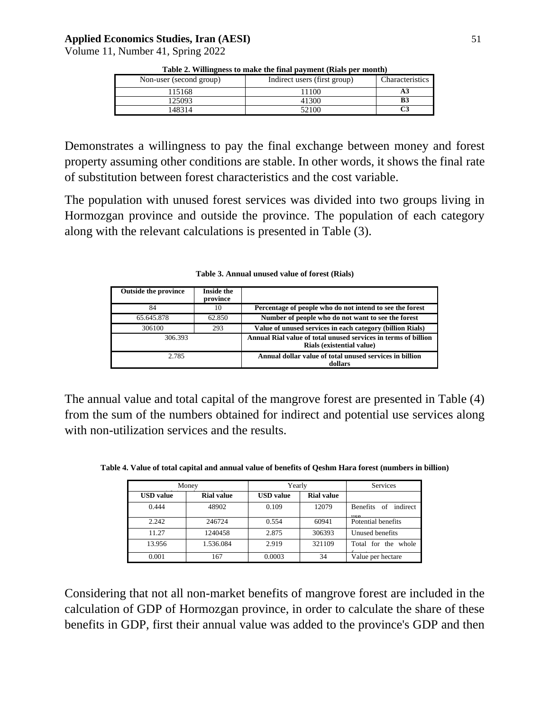Volume 11, Number 41, Spring 2022

| Non-user (second group) | Indirect users (first group) | Characteristics |
|-------------------------|------------------------------|-----------------|
| 115168                  | 1100                         | A3              |
| 125093                  | 41300                        | B3              |
| 148314                  | 52100                        |                 |

**Table 2. Willingness to make the final payment (Rials per month)**

Demonstrates a willingness to pay the final exchange between money and forest property assuming other conditions are stable. In other words, it shows the final rate of substitution between forest characteristics and the cost variable.

The population with unused forest services was divided into two groups living in Hormozgan province and outside the province. The population of each category along with the relevant calculations is presented in Table (3).

| <b>Outside the province</b> | <b>Inside the</b><br>province |                                                                                             |
|-----------------------------|-------------------------------|---------------------------------------------------------------------------------------------|
| 84                          | 10                            | Percentage of people who do not intend to see the forest                                    |
| 65.645.878                  | 62.850                        | Number of people who do not want to see the forest                                          |
| 306100                      | 293                           | Value of unused services in each category (billion Rials)                                   |
| 306.393                     |                               | Annual Rial value of total unused services in terms of billion<br>Rials (existential value) |
| 2.785                       |                               | Annual dollar value of total unused services in billion<br>dollars                          |

**Table 3. Annual unused value of forest (Rials)**

The annual value and total capital of the mangrove forest are presented in Table (4) from the sum of the numbers obtained for indirect and potential use services along with non-utilization services and the results.

**Table 4. Value of total capital and annual value of benefits of Qeshm Hara forest (numbers in billion)**

| Money            |                   | Yearly           |                   | <b>Services</b>              |
|------------------|-------------------|------------------|-------------------|------------------------------|
| <b>USD</b> value | <b>Rial value</b> | <b>USD</b> value | <b>Rial value</b> |                              |
| 0.444            | 48902             | 0.109            | 12079             | Benefits of indirect<br>11CQ |
| 2.242            | 246724            | 0.554            | 60941             | Potential benefits           |
| 11.27            | 1240458           | 2.875            | 306393            | Unused benefits              |
| 13.956           | 1.536.084         | 2.919            | 321109            | Total for the whole          |
| 0.001            | 167               | 0.0003           | 34                | Value per hectare            |

Considering that not all non-market benefits of mangrove forest are included in the calculation of GDP of Hormozgan province, in order to calculate the share of these benefits in GDP, first their annual value was added to the province's GDP and then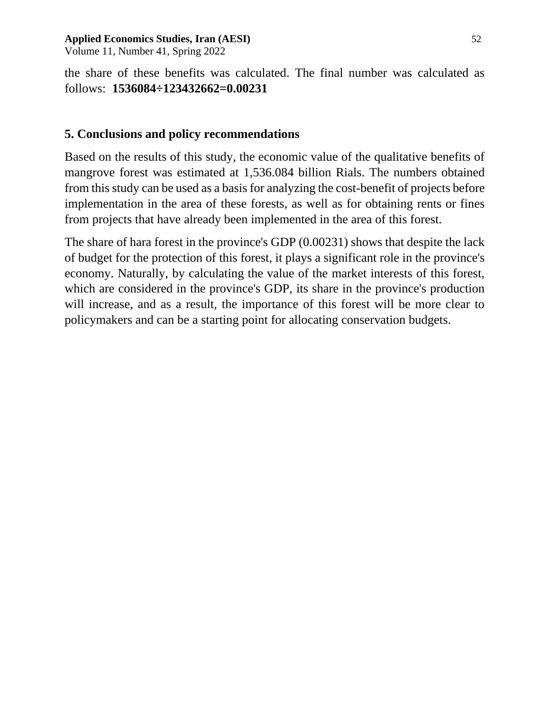Volume 11, Number 41, Spring 2022

the share of these benefits was calculated. The final number was calculated as follows: **1536084÷123432662=0.00231**

# **5. Conclusions and policy recommendations**

Based on the results of this study, the economic value of the qualitative benefits of mangrove forest was estimated at 1,536.084 billion Rials. The numbers obtained from this study can be used as a basis for analyzing the cost-benefit of projects before implementation in the area of these forests, as well as for obtaining rents or fines from projects that have already been implemented in the area of this forest.

The share of hara forest in the province's GDP (0.00231) shows that despite the lack of budget for the protection of this forest, it plays a significant role in the province's economy. Naturally, by calculating the value of the market interests of this forest, which are considered in the province's GDP, its share in the province's production will increase, and as a result, the importance of this forest will be more clear to policymakers and can be a starting point for allocating conservation budgets.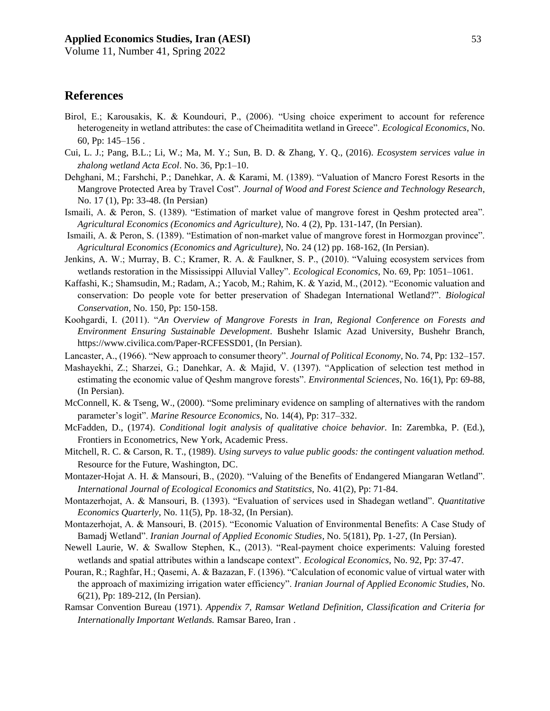Volume 11, Number 41, Spring 2022

### **References**

- Birol, E.; Karousakis, K. & Koundouri, P., (2006). "Using choice experiment to account for reference heterogeneity in wetland attributes: the case of Cheimaditita wetland in Greece". *Ecological Economics*, No. 60, Pp: 145–156 .
- Cui, L. J.; Pang, B.L.; Li, W.; Ma, M. Y.; Sun, B. D. & Zhang, Y. Q., (2016). *Ecosystem services value in zhalong wetland Acta Ecol*. No. 36, Pp:1–10.
- Dehghani, M.; Farshchi, P.; Danehkar, A. & Karami, M. (1389). "Valuation of Mancro Forest Resorts in the Mangrove Protected Area by Travel Cost". *Journal of Wood and Forest Science and Technology Research*, No. 17 (1), Pp: 33-48. (In Persian)
- Ismaili, A. & Peron, S. (1389). "Estimation of market value of mangrove forest in Qeshm protected area". *Agricultural Economics (Economics and Agriculture)*, No. 4 (2), Pp. 131-147, (In Persian).
- Ismaili, A. & Peron, S. (1389). "Estimation of non-market value of mangrove forest in Hormozgan province". *Agricultural Economics (Economics and Agriculture)*, No. 24 (12) pp. 168-162, (In Persian).
- Jenkins, A. W.; Murray, B. C.; Kramer, R. A. & Faulkner, S. P., (2010). "Valuing ecosystem services from wetlands restoration in the Mississippi Alluvial Valley". *Ecological Economics*, No. 69, Pp: 1051–1061.
- Kaffashi, K.; Shamsudin, M.; Radam, A.; Yacob, M.; Rahim, K. & Yazid, M., (2012). "Economic valuation and conservation: Do people vote for better preservation of Shadegan International Wetland?". *Biological Conservation*, No. 150, Pp: 150-158.
- Koohgardi, I. (2011). "*An Overview of Mangrove Forests in Iran, Regional Conference on Forests and Environment Ensuring Sustainable Development*. Bushehr Islamic Azad University, Bushehr Branch, https://www.civilica.com/Paper-RCFESSD01, (In Persian).
- Lancaster, A., (1966). "New approach to consumer theory". *Journal of Political Economy,* No. 74, Pp: 132–157 .
- Mashayekhi, Z.; Sharzei, G.; Danehkar, A. & Majid, V. (1397). "Application of selection test method in estimating the economic value of Qeshm mangrove forests". *Environmental Sciences*, No. 16(1), Pp: 69-88, (In Persian).
- McConnell, K. & Tseng, W., (2000). "Some preliminary evidence on sampling of alternatives with the random parameter's logit". *Marine Resource Economics,* No. 14(4), Pp: 317–332.
- McFadden, D., (1974). *Conditional logit analysis of qualitative choice behavior.* In: Zarembka, P. (Ed.), Frontiers in Econometrics, New York, Academic Press.
- Mitchell, R. C. & Carson, R. T., (1989). *Using surveys to value public goods: the contingent valuation method.* Resource for the Future, Washington, DC.
- Montazer-Hojat A. H. & Mansouri, B., (2020). "Valuing of the Benefits of Endangered Miangaran Wetland". *International Journal of Ecological Economics and Statitstics,* No. 41(2), Pp: 71-84.
- Montazerhojat, A. & Mansouri, B. (1393). "Evaluation of services used in Shadegan wetland". *Quantitative Economics Quarterly*, No. 11(5), Pp. 18-32, (In Persian).
- Montazerhojat, A. & Mansouri, B. (2015). "Economic Valuation of Environmental Benefits: A Case Study of Bamadj Wetland". *Iranian Journal of Applied Economic Studies*, No. 5(181), Pp. 1-27, (In Persian).
- Newell Laurie, W. & Swallow Stephen, K., (2013). "Real-payment choice experiments: Valuing forested wetlands and spatial attributes within a landscape context". *Ecological Economics*, No. 92, Pp: 37-47.
- Pouran, R.; Raghfar, H.; Qasemi, A. & Bazazan, F. (1396). "Calculation of economic value of virtual water with the approach of maximizing irrigation water efficiency". *Iranian Journal of Applied Economic Studies*, No. 6(21), Pp: 189-212, (In Persian).
- Ramsar Convention Bureau (1971). *Appendix 7, Ramsar Wetland Definition, Classification and Criteria for Internationally Important Wetlands.* Ramsar Bareo, Iran .